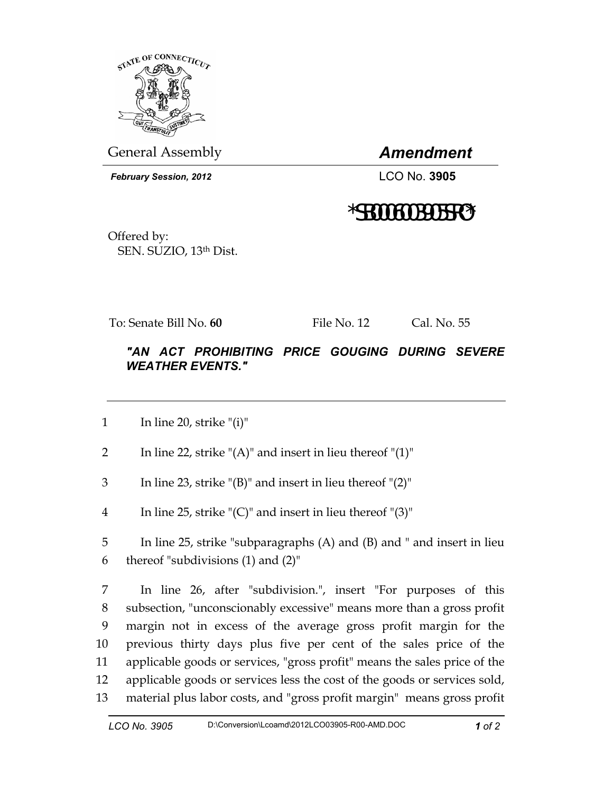

General Assembly *Amendment* 

 *February Session, 2012* LCO No. **3905**

## \*SB0006003905SRO\*

Offered by: SEN. SUZIO, 13th Dist.

To: Senate Bill No. **60** File No. 12 Cal. No. 55

## *"AN ACT PROHIBITING PRICE GOUGING DURING SEVERE WEATHER EVENTS."*

1 In line 20, strike " $(i)$ "

2 In line 22, strike " $(A)$ " and insert in lieu thereof " $(1)$ "

- 3 In line 23, strike "(B)" and insert in lieu thereof "(2)"
- 4 In line 25, strike " $(C)$ " and insert in lieu thereof " $(3)$ "

5 In line 25, strike "subparagraphs (A) and (B) and " and insert in lieu 6 thereof "subdivisions (1) and (2)"

7 In line 26, after "subdivision.", insert "For purposes of this 8 subsection, "unconscionably excessive" means more than a gross profit 9 margin not in excess of the average gross profit margin for the 10 previous thirty days plus five per cent of the sales price of the 11 applicable goods or services, "gross profit" means the sales price of the 12 applicable goods or services less the cost of the goods or services sold, 13 material plus labor costs, and "gross profit margin" means gross profit